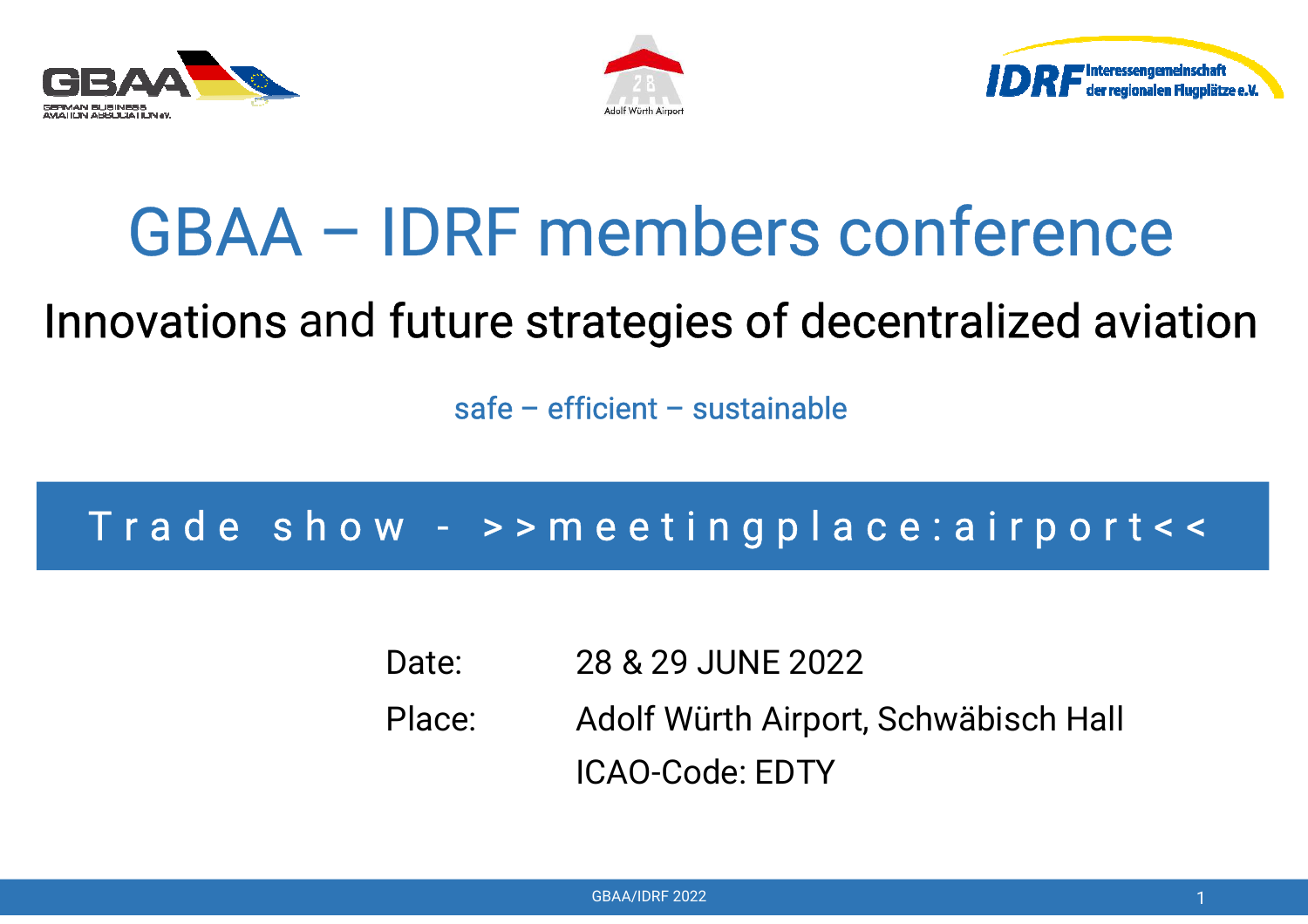





# GBAA – IDRF members conference

## Innovations and future strategies of decentralized aviation

safe – efficient – sustainable

## T <sup>r</sup> <sup>a</sup> d <sup>e</sup> <sup>s</sup> h <sup>o</sup> <sup>w</sup> - <sup>&</sup>gt; <sup>&</sup>gt; <sup>m</sup> <sup>e</sup> <sup>e</sup> <sup>t</sup> i <sup>n</sup> g p l <sup>a</sup> <sup>c</sup> <sup>e</sup> : <sup>a</sup> i <sup>r</sup> p <sup>o</sup> <sup>r</sup> <sup>t</sup> <sup>&</sup>lt; <sup>&</sup>lt;

Date: 28 & 29 JUNE 2022 Place: Adolf Würth Airport, Schwäbisch Hall ICAO-Code: EDTY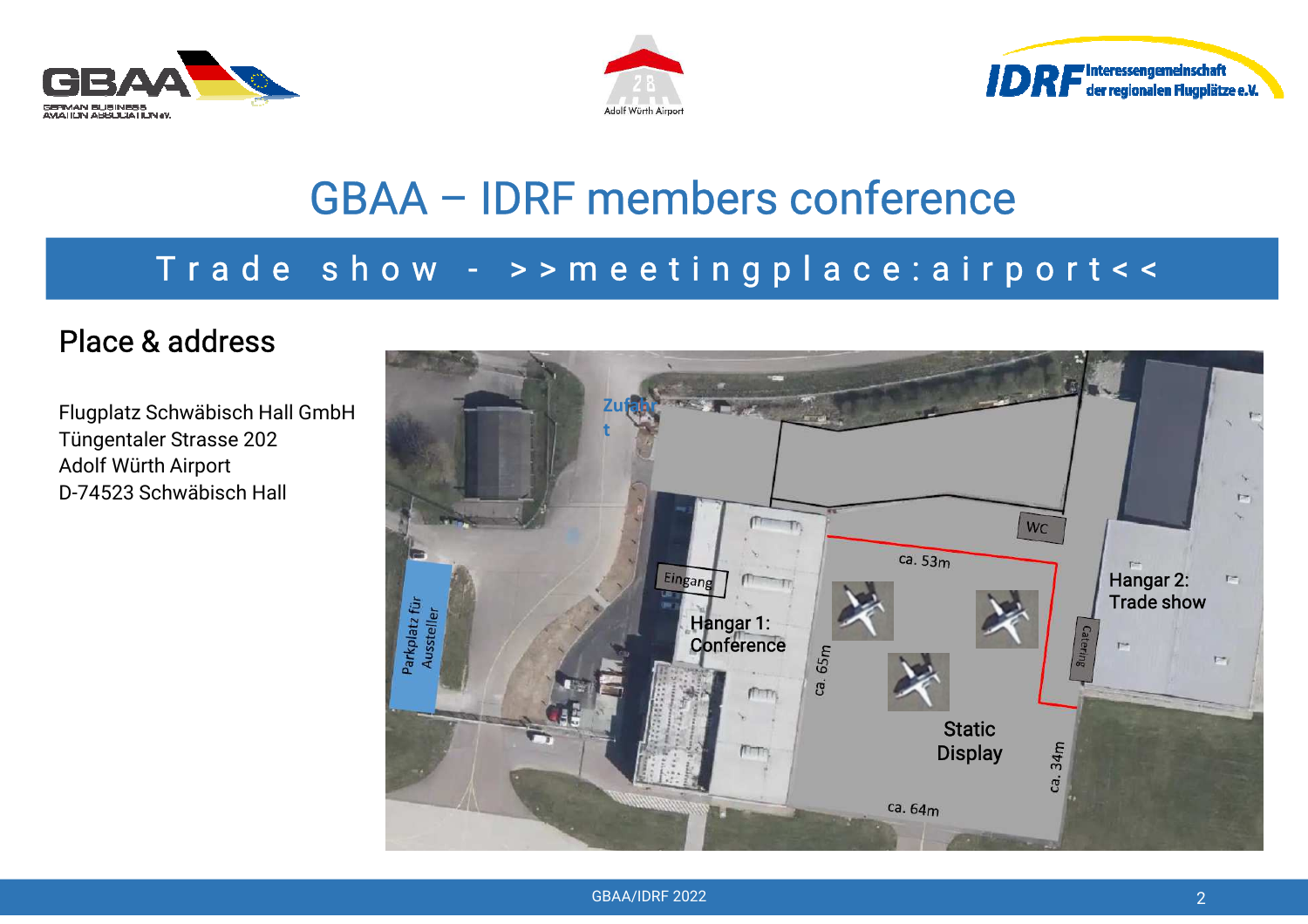





## GBAA – IDRF members conference

#### T <sup>r</sup> <sup>a</sup> d <sup>e</sup> <sup>s</sup> h <sup>o</sup> <sup>w</sup> - <sup>&</sup>gt; <sup>&</sup>gt; <sup>m</sup> <sup>e</sup> <sup>e</sup> <sup>t</sup> i <sup>n</sup> g p l <sup>a</sup> <sup>c</sup> <sup>e</sup> : <sup>a</sup> i <sup>r</sup> p <sup>o</sup> <sup>r</sup> <sup>t</sup> <sup>&</sup>lt; <sup>&</sup>lt;

#### Place & address

Flugplatz Schwäbisch Hall GmbHTüngentaler Strasse 202Adolf Würth AirportD-74523 Schwäbisch Hall

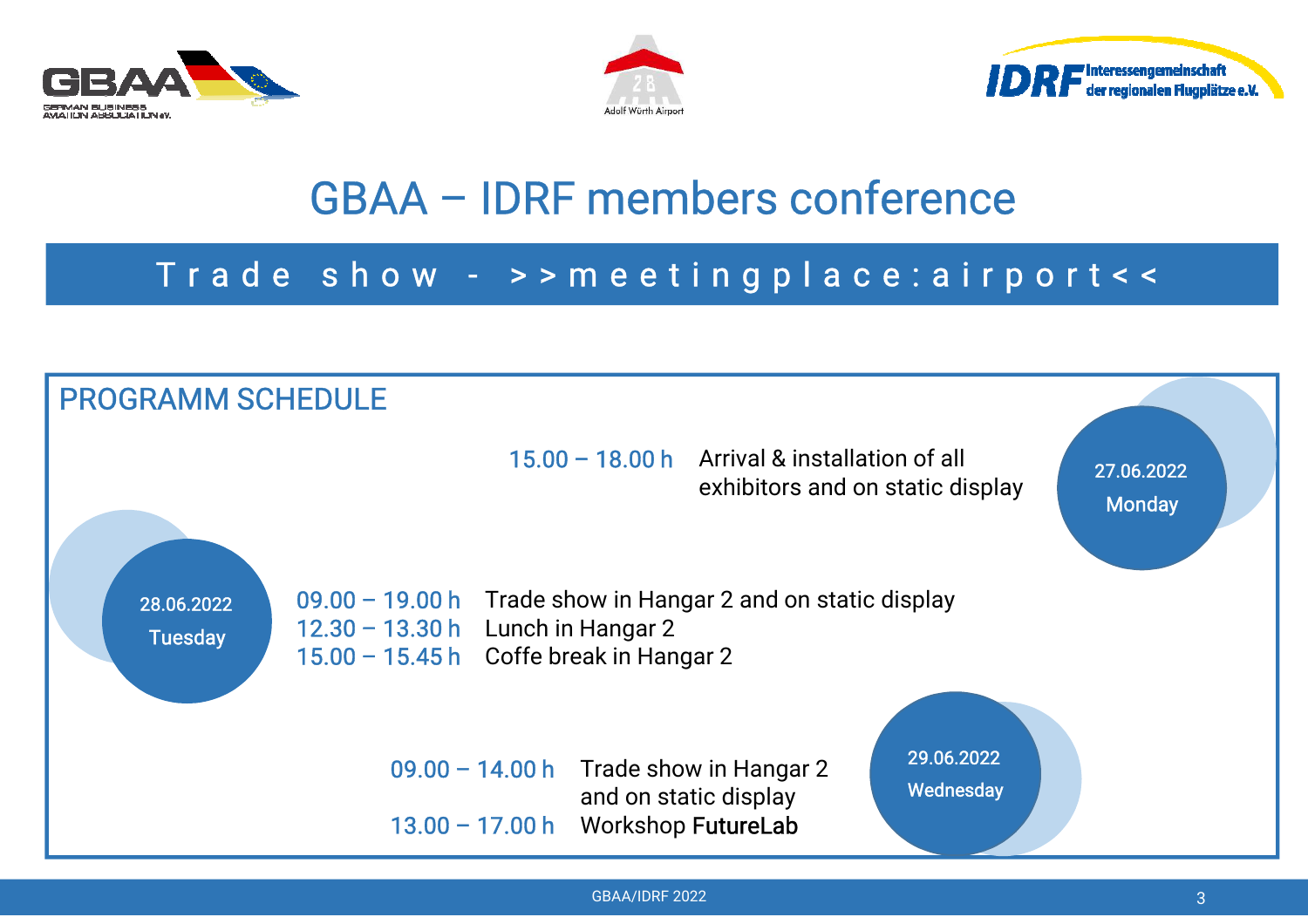





## GBAA – IDRF members conference

#### T <sup>r</sup> <sup>a</sup> d <sup>e</sup> <sup>s</sup> h <sup>o</sup> <sup>w</sup> - <sup>&</sup>gt; <sup>&</sup>gt; <sup>m</sup> <sup>e</sup> <sup>e</sup> <sup>t</sup> i <sup>n</sup> g p l <sup>a</sup> <sup>c</sup> <sup>e</sup> : <sup>a</sup> i <sup>r</sup> p <sup>o</sup> <sup>r</sup> <sup>t</sup> <sup>&</sup>lt; <sup>&</sup>lt;

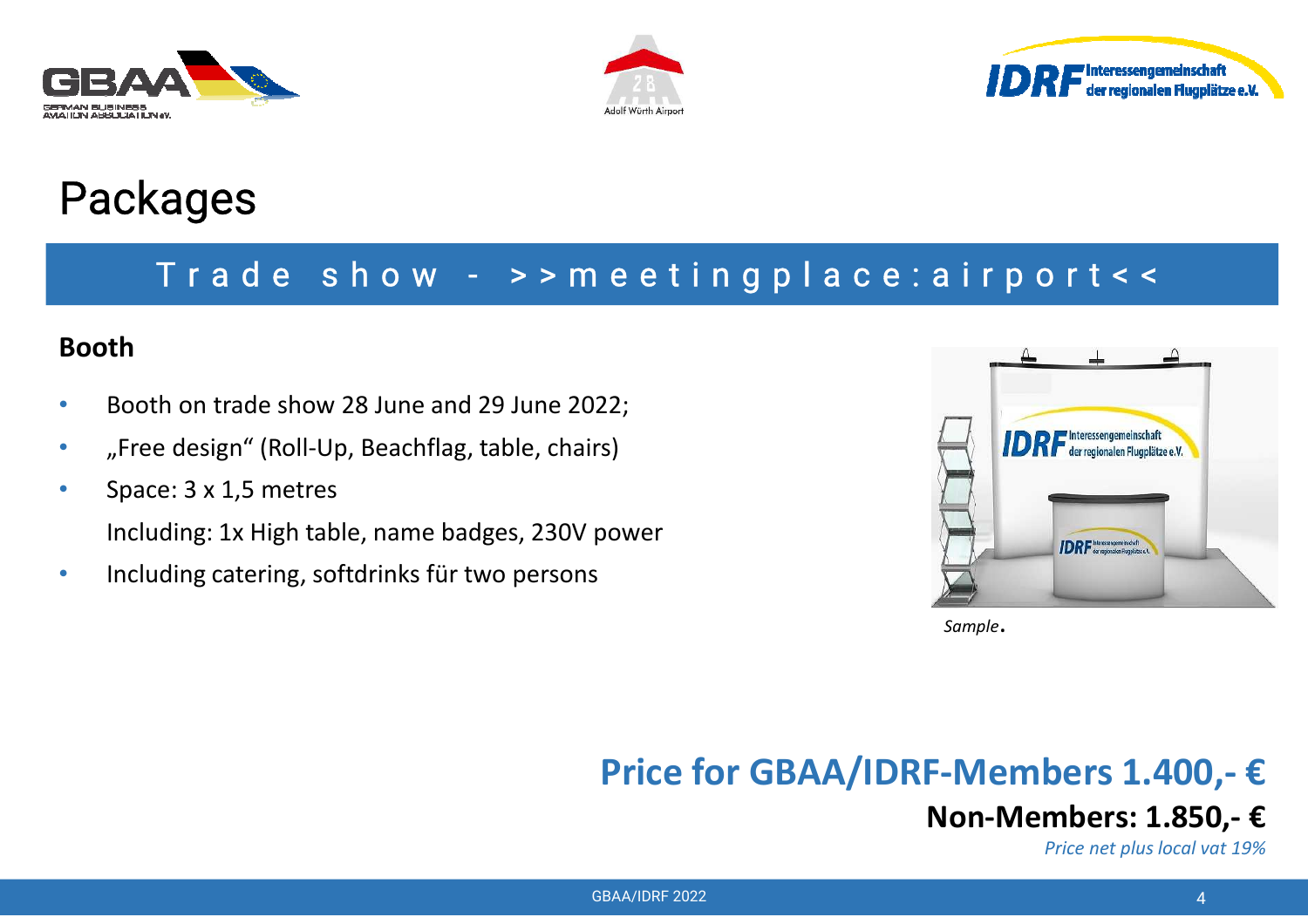





#### T <sup>r</sup> <sup>a</sup> d <sup>e</sup> <sup>s</sup> h <sup>o</sup> <sup>w</sup> - <sup>&</sup>gt; <sup>&</sup>gt; <sup>m</sup> <sup>e</sup> <sup>e</sup> <sup>t</sup> i <sup>n</sup> g p l <sup>a</sup> <sup>c</sup> <sup>e</sup> : <sup>a</sup> i <sup>r</sup> p <sup>o</sup> <sup>r</sup> <sup>t</sup> <sup>&</sup>lt; <sup>&</sup>lt;

#### **Booth**

- •Booth on trade show 28 June and 29 June 2022;
- •"Free design" (Roll-Up, Beachflag, table, chairs)
- •Space: 3 x 1,5 metres

Including: 1x High table, name badges, 230V power

•Including catering, softdrinks für two persons



*Sample*.

**Price for GBAA/IDRF-Members 1.400,- €**

## **Non-Members: 1.850,- €**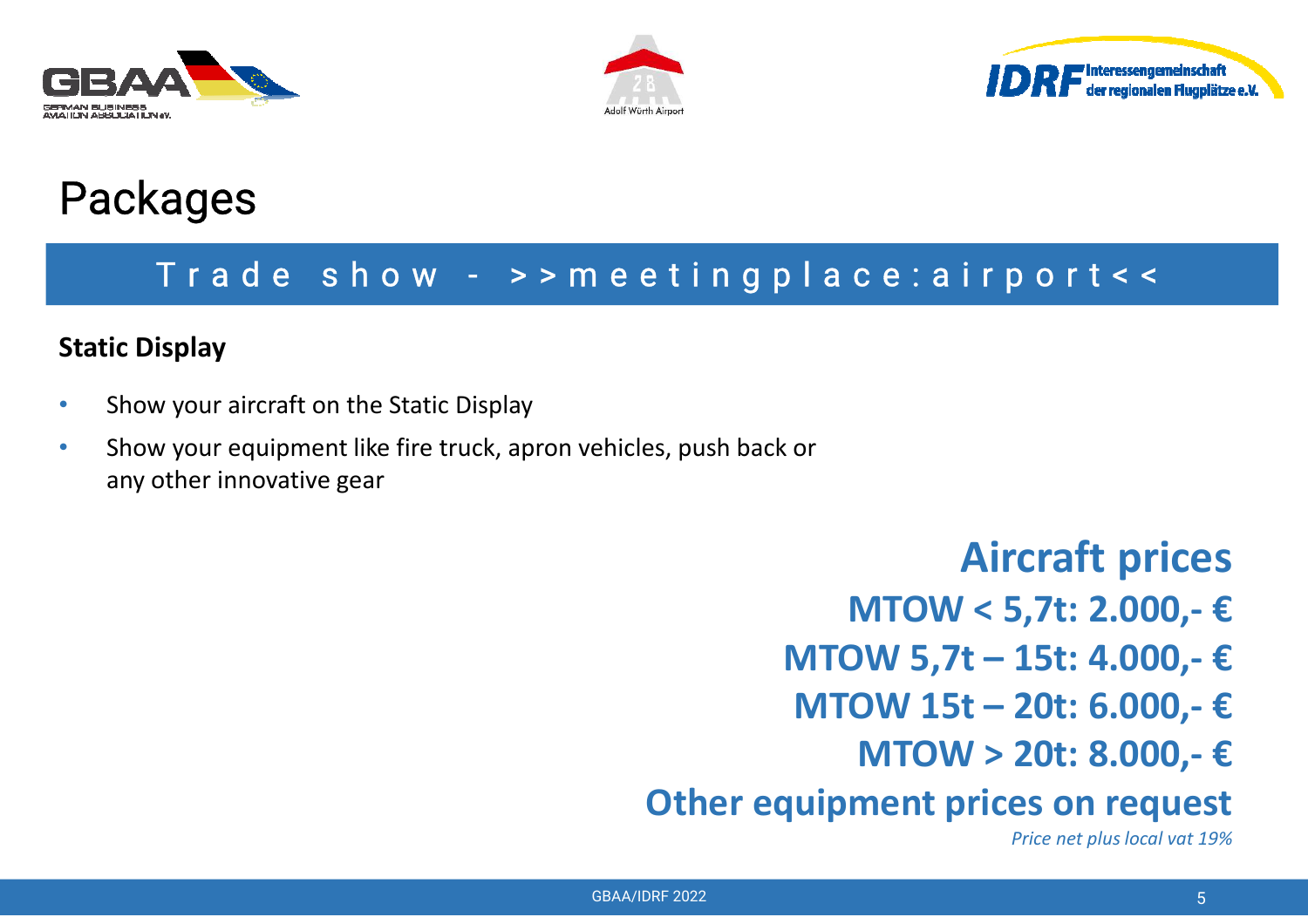





#### T <sup>r</sup> <sup>a</sup> d <sup>e</sup> <sup>s</sup> h <sup>o</sup> <sup>w</sup> - <sup>&</sup>gt; <sup>&</sup>gt; <sup>m</sup> <sup>e</sup> <sup>e</sup> <sup>t</sup> i <sup>n</sup> g p l <sup>a</sup> <sup>c</sup> <sup>e</sup> : <sup>a</sup> i <sup>r</sup> p <sup>o</sup> <sup>r</sup> <sup>t</sup> <sup>&</sup>lt; <sup>&</sup>lt;

#### **Static Display**

- •Show your aircraft on the Static Display
- • Show your equipment like fire truck, apron vehicles, push back or any other innovative gear

**Aircraft prices**

**MTOW < 5,7t: 2.000,- €**

**MTOW 5,7t – 15t: 4.000,- €**

- **MTOW 15t – 20t: 6.000,- €**
	- **MTOW > 20t: 8.000,- €**

**Other equipment prices on request**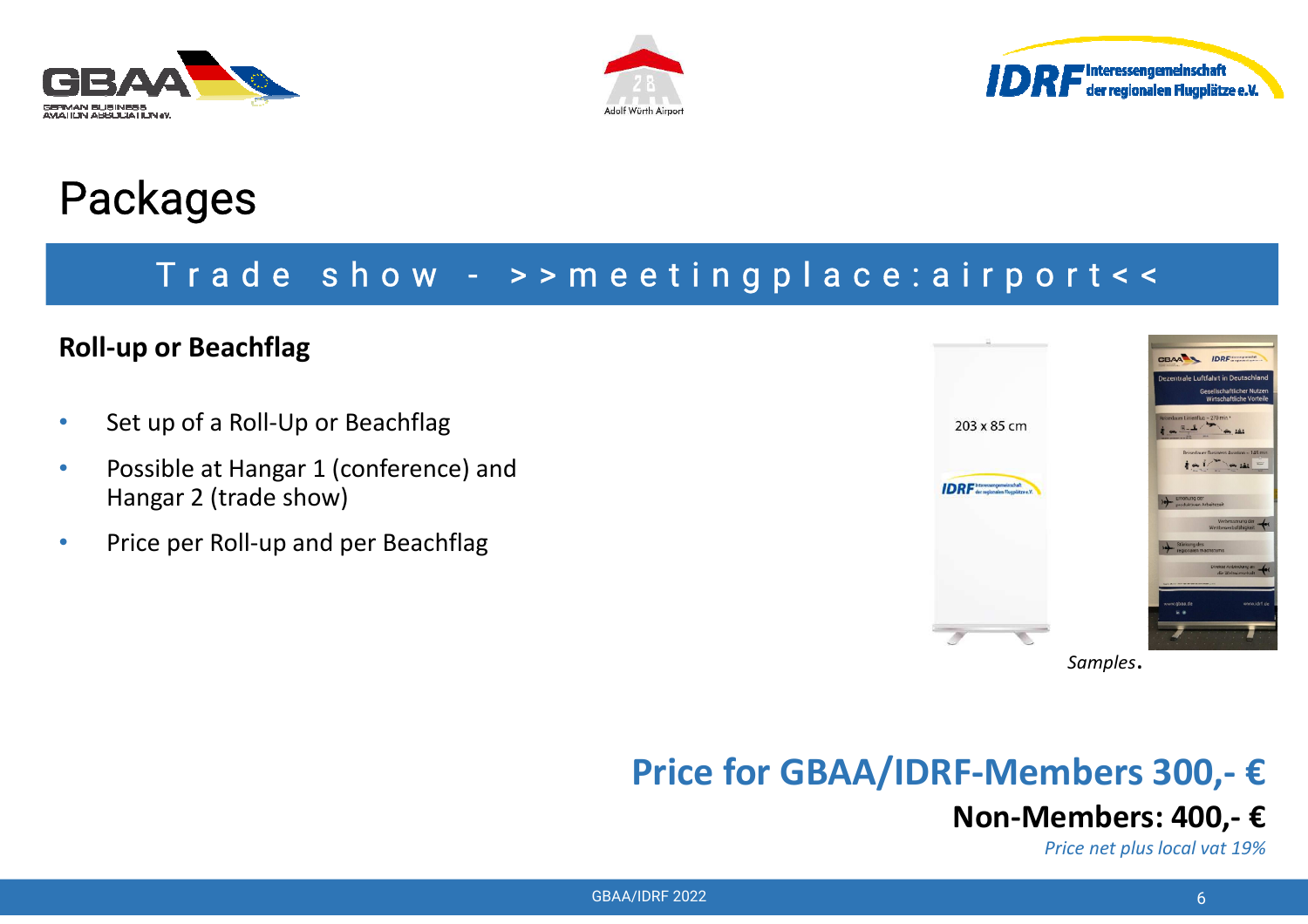





#### T <sup>r</sup> <sup>a</sup> d <sup>e</sup> <sup>s</sup> h <sup>o</sup> <sup>w</sup> - <sup>&</sup>gt; <sup>&</sup>gt; <sup>m</sup> <sup>e</sup> <sup>e</sup> <sup>t</sup> i <sup>n</sup> g p l <sup>a</sup> <sup>c</sup> <sup>e</sup> : <sup>a</sup> i <sup>r</sup> p <sup>o</sup> <sup>r</sup> <sup>t</sup> <sup>&</sup>lt; <sup>&</sup>lt;

#### **Roll-up or Beachflag**

- •Set up of a Roll-Up or Beachflag
- • Possible at Hangar 1 (conference) and Hangar 2 (trade show)
- •Price per Roll-up and per Beachflag



*Samples*.

### **Price for GBAA/IDRF-Members 300,- €**

## **Non-Members: 400,- €**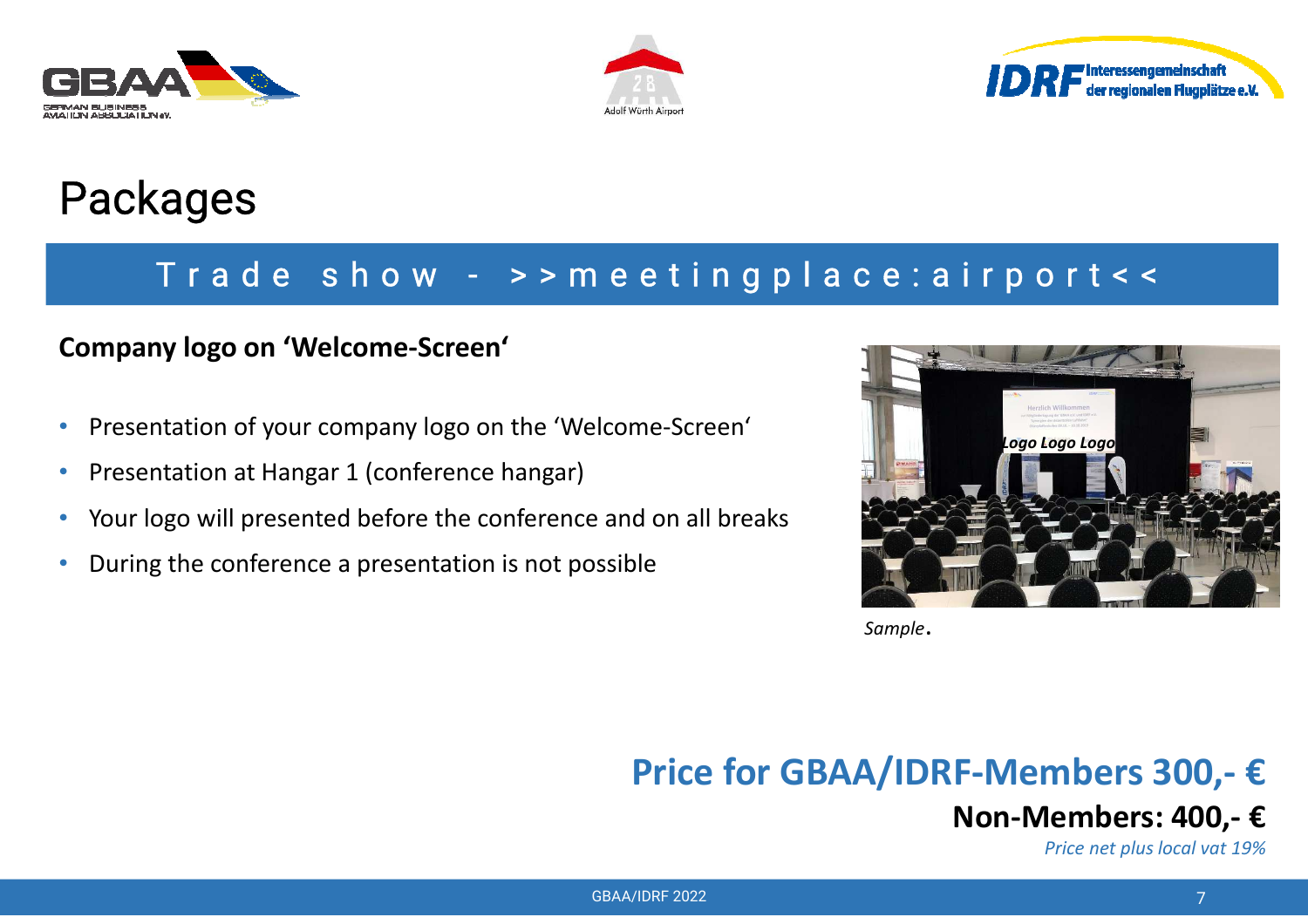





#### T <sup>r</sup> <sup>a</sup> d <sup>e</sup> <sup>s</sup> h <sup>o</sup> <sup>w</sup> - <sup>&</sup>gt; <sup>&</sup>gt; <sup>m</sup> <sup>e</sup> <sup>e</sup> <sup>t</sup> i <sup>n</sup> g p l <sup>a</sup> <sup>c</sup> <sup>e</sup> : <sup>a</sup> i <sup>r</sup> p <sup>o</sup> <sup>r</sup> <sup>t</sup> <sup>&</sup>lt; <sup>&</sup>lt;

#### **Company logo on 'Welcome-Screen'**

- •Presentation of your company logo on the 'Welcome-Screen'
- •Presentation at Hangar 1 (conference hangar)
- $\bullet$ Your logo will presented before the conference and on all breaks
- •During the conference a presentation is not possible



*Sample*.

**Price for GBAA/IDRF-Members 300,- €**

#### **Non-Members: 400,- €**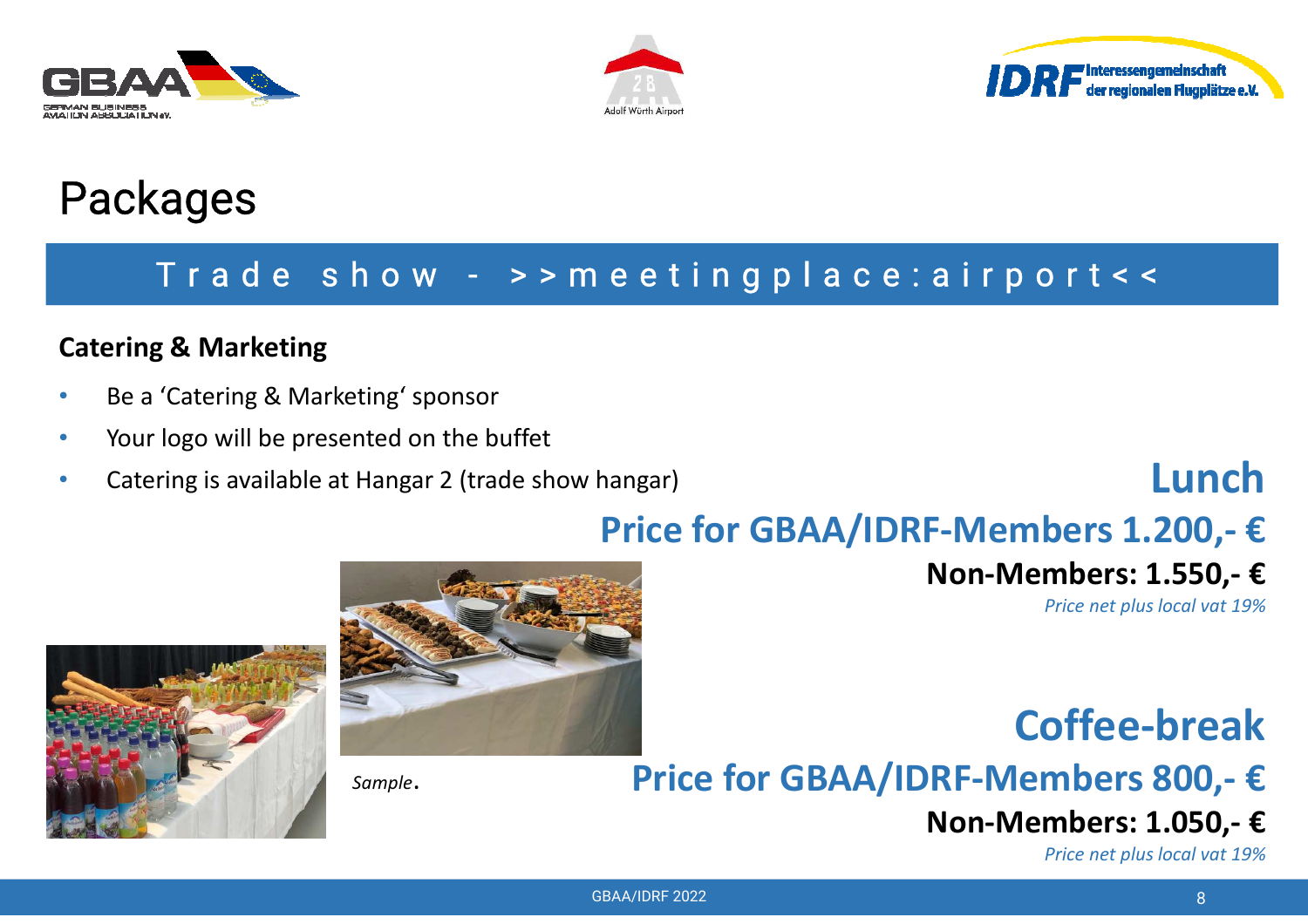





#### T <sup>r</sup> <sup>a</sup> d <sup>e</sup> <sup>s</sup> h <sup>o</sup> <sup>w</sup> - <sup>&</sup>gt; <sup>&</sup>gt; <sup>m</sup> <sup>e</sup> <sup>e</sup> <sup>t</sup> i <sup>n</sup> g p l <sup>a</sup> <sup>c</sup> <sup>e</sup> : <sup>a</sup> i <sup>r</sup> p <sup>o</sup> <sup>r</sup> <sup>t</sup> <sup>&</sup>lt; <sup>&</sup>lt;

#### **Catering & Marketing**

- •Be a 'Catering & Marketing' sponsor
- •Your logo will be presented on the buffet
- •Catering is available at Hangar 2 (trade show hangar)

## **Lunch**

## **Price for GBAA/IDRF-Members 1.200,- €**

## **Non-Members: 1.550,- €**

*Price net plus local vat 19%*





*Sample*.

## **Coffee-breakPrice for GBAA/IDRF-Members 800,- €**

#### **Non-Members: 1.050,- €**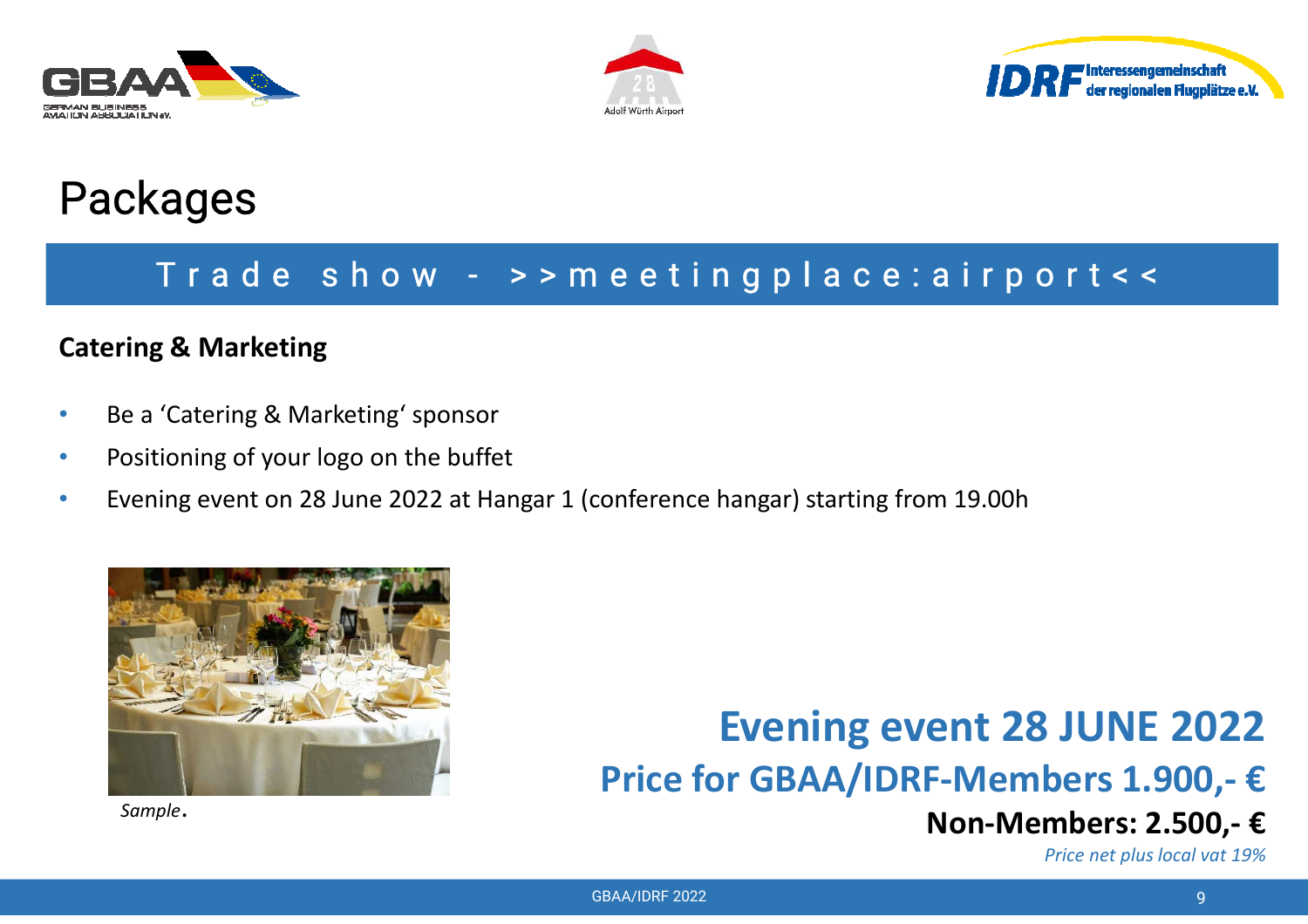





#### T <sup>r</sup> <sup>a</sup> d <sup>e</sup> <sup>s</sup> h <sup>o</sup> <sup>w</sup> - <sup>&</sup>gt; <sup>&</sup>gt; <sup>m</sup> <sup>e</sup> <sup>e</sup> <sup>t</sup> i <sup>n</sup> g p l <sup>a</sup> <sup>c</sup> <sup>e</sup> : <sup>a</sup> i <sup>r</sup> p <sup>o</sup> <sup>r</sup> <sup>t</sup> <sup>&</sup>lt; <sup>&</sup>lt;

#### **Catering & Marketing**

- •Be a 'Catering & Marketing' sponsor
- •Positioning of your logo on the buffet
- •Evening event on 28 June 2022 at Hangar 1 (conference hangar) starting from 19.00h



*Sample*.

## **Evening event 28 JUNE 2022Price for GBAA/IDRF-Members 1.900,- €**

### **Non-Members: 2.500,- €**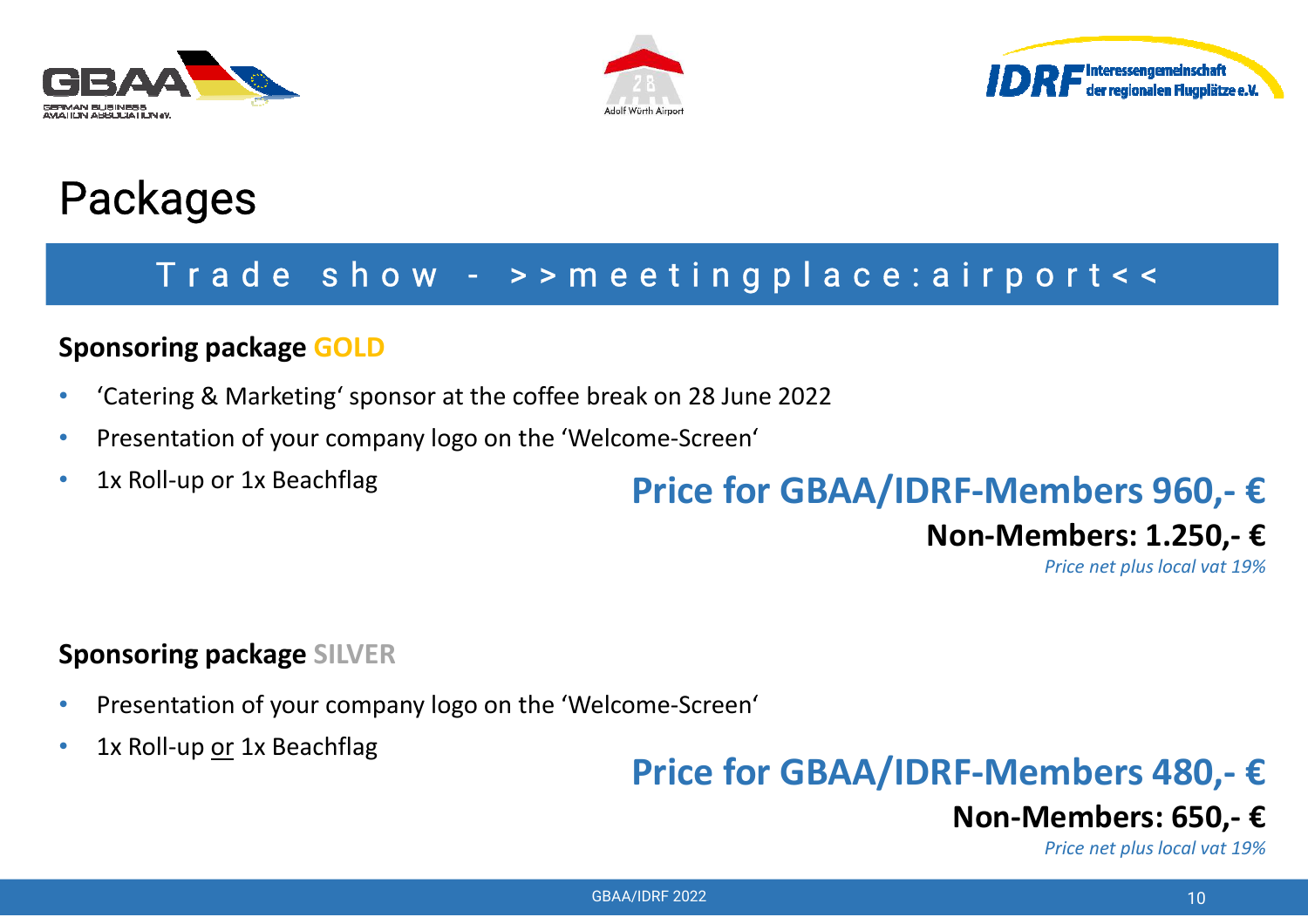





#### T <sup>r</sup> <sup>a</sup> d <sup>e</sup> <sup>s</sup> h <sup>o</sup> <sup>w</sup> - <sup>&</sup>gt; <sup>&</sup>gt; <sup>m</sup> <sup>e</sup> <sup>e</sup> <sup>t</sup> i <sup>n</sup> g p l <sup>a</sup> <sup>c</sup> <sup>e</sup> : <sup>a</sup> i <sup>r</sup> p <sup>o</sup> <sup>r</sup> <sup>t</sup> <sup>&</sup>lt; <sup>&</sup>lt;

#### **Sponsoring package GOLD**

- •'Catering & Marketing' sponsor at the coffee break on 28 June 2022
- •Presentation of your company logo on the 'Welcome-Screen'
- •1x Roll-up or 1x Beachflag

### **Price for GBAA/IDRF-Members 960,- €**

## **Non-Members: 1.250,- €**

*Price net plus local vat 19%*

#### **Sponsoring package SILVER**

- •Presentation of your company logo on the 'Welcome-Screen'
- •1x Roll-up or 1x Beachflag

## **Price for GBAA/IDRF-Members 480,- €**

## **Non-Members: 650,- €**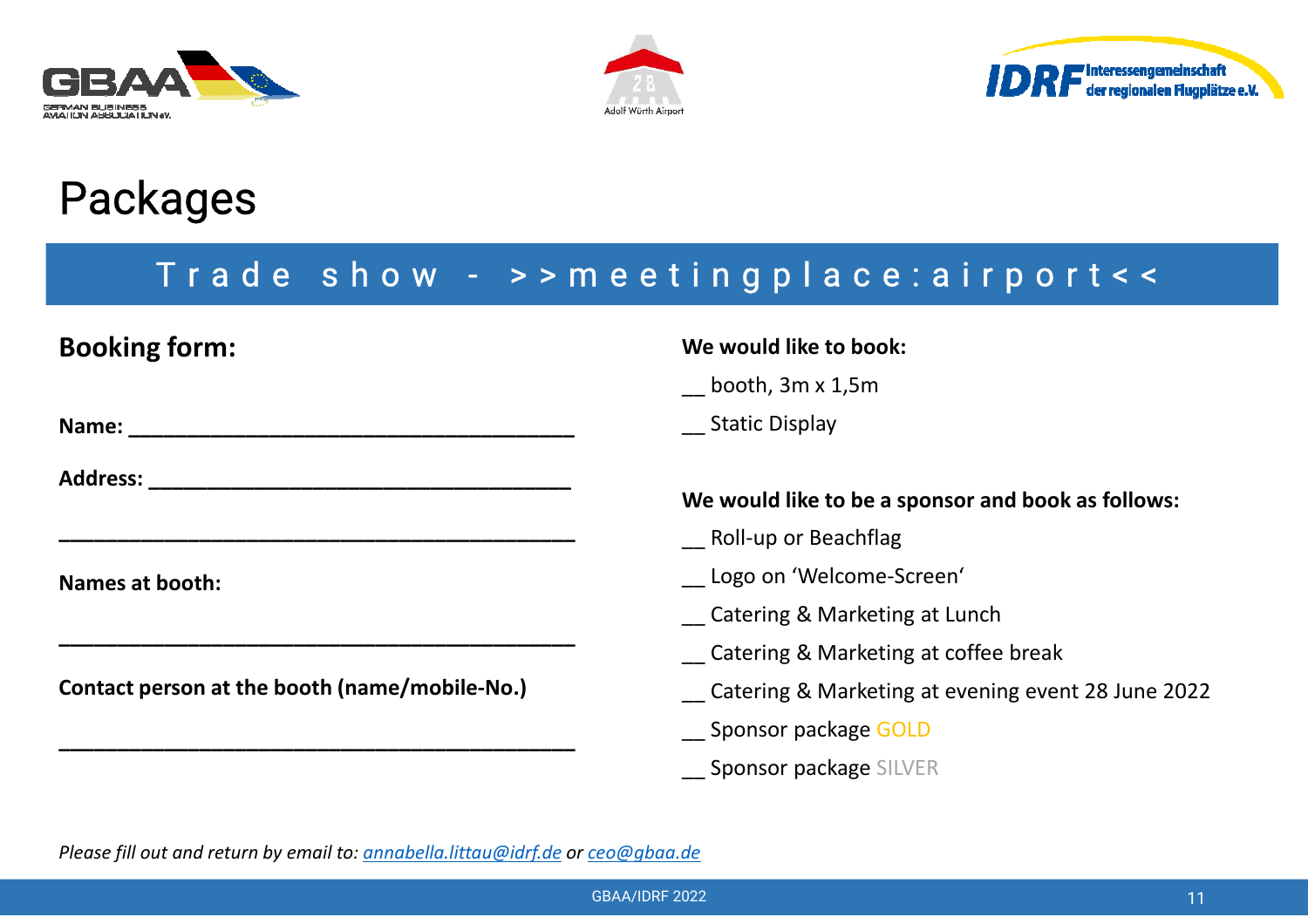





#### T <sup>r</sup> <sup>a</sup> d <sup>e</sup> <sup>s</sup> h <sup>o</sup> <sup>w</sup> - <sup>&</sup>gt; <sup>&</sup>gt; <sup>m</sup> <sup>e</sup> <sup>e</sup> <sup>t</sup> i <sup>n</sup> g p l <sup>a</sup> <sup>c</sup> <sup>e</sup> : <sup>a</sup> i <sup>r</sup> p <sup>o</sup> <sup>r</sup> <sup>t</sup> <sup>&</sup>lt; <sup>&</sup>lt;

| <b>Booking form:</b>                                                                                                                                                                                                           | We would like to book:                             |
|--------------------------------------------------------------------------------------------------------------------------------------------------------------------------------------------------------------------------------|----------------------------------------------------|
|                                                                                                                                                                                                                                | booth, 3m x 1,5m                                   |
|                                                                                                                                                                                                                                | <b>Static Display</b>                              |
| Address: Andreas and the set of the set of the set of the set of the set of the set of the set of the set of the set of the set of the set of the set of the set of the set of the set of the set of the set of the set of the | We would like to be a sponsor and book as follows: |
|                                                                                                                                                                                                                                | Roll-up or Beachflag                               |
| Names at booth:                                                                                                                                                                                                                | Logo on 'Welcome-Screen'                           |
|                                                                                                                                                                                                                                | <b>Catering &amp; Marketing at Lunch</b>           |
|                                                                                                                                                                                                                                | Catering & Marketing at coffee break               |
| Contact person at the booth (name/mobile-No.)                                                                                                                                                                                  | Catering & Marketing at evening event 28 June 2022 |
|                                                                                                                                                                                                                                | Sponsor package GOLD                               |
|                                                                                                                                                                                                                                | <b>Sponsor package SILVER</b>                      |

*Please fill out and return by email to: annabella.littau@idrf.de or ceo@gbaa.de*